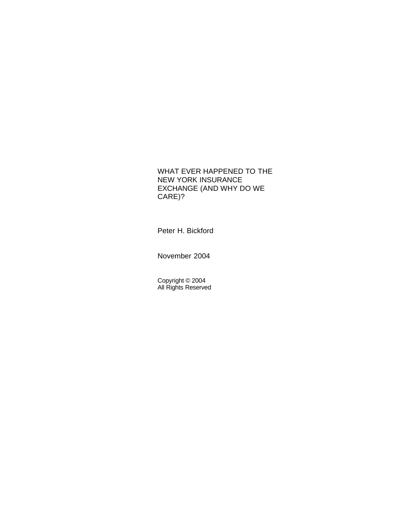# WHAT EVER HAPPENED TO THE NEW YORK INSURANCE EXCHANGE (AND WHY DO WE CARE)?

Peter H. Bickford

November 2004

Copyright © 2004 All Rights Reserved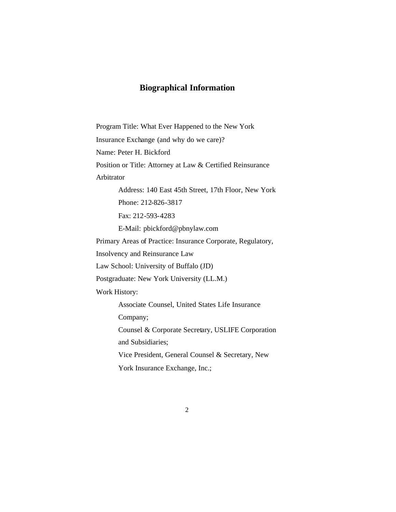# **Biographical Information**

Program Title: What Ever Happened to the New York Insurance Exchange (and why do we care)? Name: Peter H. Bickford Position or Title: Attorney at Law & Certified Reinsurance Arbitrator Address: 140 East 45th Street, 17th Floor, New York Phone: 212-826-3817 Fax: 212-593-4283 E-Mail: pbickford@pbnylaw.com Primary Areas of Practice: Insurance Corporate, Regulatory, Insolvency and Reinsurance Law Law School: University of Buffalo (JD) Postgraduate: New York University (LL.M.) Work History: Associate Counsel, United States Life Insurance Company; Counsel & Corporate Secretary, USLIFE Corporation and Subsidiaries; Vice President, General Counsel & Secretary, New York Insurance Exchange, Inc.;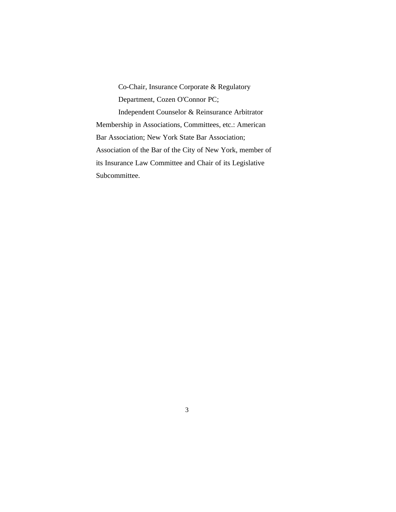Co-Chair, Insurance Corporate & Regulatory Department, Cozen O'Connor PC; Independent Counselor & Reinsurance Arbitrator Membership in Associations, Committees, etc.: American Bar Association; New York State Bar Association; Association of the Bar of the City of New York, member of its Insurance Law Committee and Chair of its Legislative Subcommittee.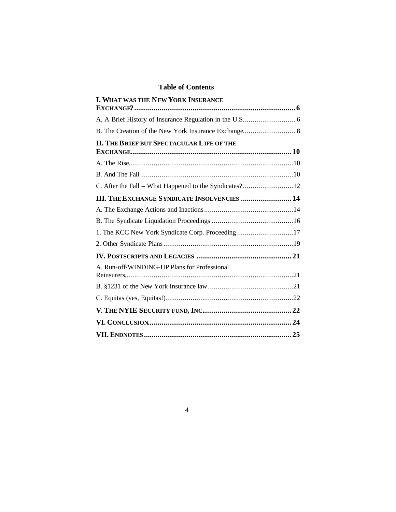# **Table of Contents**

| I. WHAT WAS THE NEW YORK INSURANCE                  |  |
|-----------------------------------------------------|--|
|                                                     |  |
|                                                     |  |
|                                                     |  |
| <b>II. THE BRIEF BUT SPECTACULAR LIFE OF THE</b>    |  |
|                                                     |  |
|                                                     |  |
|                                                     |  |
| <b>III. THE EXCHANGE SYNDICATE INSOLVENCIES  14</b> |  |
|                                                     |  |
|                                                     |  |
| 1. The KCC New York Syndicate Corp. Proceeding17    |  |
|                                                     |  |
|                                                     |  |
| A. Run-off/WINDING-UP Plans for Professional        |  |
|                                                     |  |
|                                                     |  |
|                                                     |  |
|                                                     |  |
|                                                     |  |
|                                                     |  |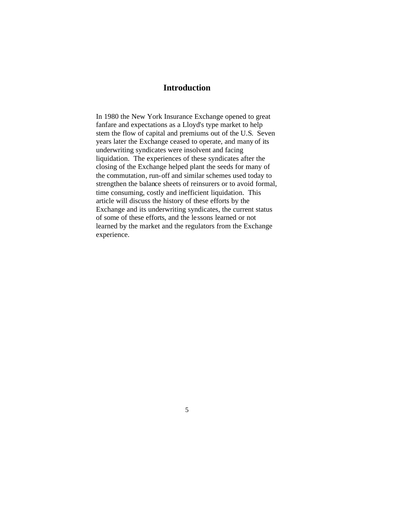# **Introduction**

In 1980 the New York Insurance Exchange opened to great fanfare and expectations as a Lloyd's type market to help stem the flow of capital and premiums out of the U.S. Seven years later the Exchange ceased to operate, and many of its underwriting syndicates were insolvent and facing liquidation. The experiences of these syndicates after the closing of the Exchange helped plant the seeds for many of the commutation, run-off and similar schemes used today to strengthen the balance sheets of reinsurers or to avoid formal, time consuming, costly and inefficient liquidation. This article will discuss the history of these efforts by the Exchange and its underwriting syndicates, the current status of some of these efforts, and the lessons learned or not learned by the market and the regulators from the Exchange experience.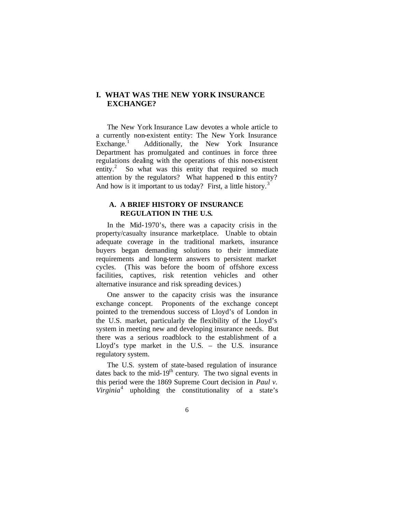## **I. WHAT WAS THE NEW YORK INSURANCE EXCHANGE?**

The New York Insurance Law devotes a whole article to a currently non-existent entity: The New York Insurance  $Exchange.<sup>1</sup>$  Additionally, the New York Insurance Department has promulgated and continues in force three regulations dealing with the operations of this non-existent entity.<sup>2</sup> So what was this entity that required so much attention by the regulators? What happened to this entity? And how is it important to us today? First, a little history.<sup>3</sup>

## **A. A BRIEF HISTORY OF INSURANCE REGULATION IN THE U.S.**

In the Mid-1970's, there was a capacity crisis in the property/casualty insurance marketplace. Unable to obtain adequate coverage in the traditional markets, insurance buyers began demanding solutions to their immediate requirements and long-term answers to persistent market cycles. (This was before the boom of offshore excess facilities, captives, risk retention vehicles and other alternative insurance and risk spreading devices.)

One answer to the capacity crisis was the insurance exchange concept. Proponents of the exchange concept pointed to the tremendous success of Lloyd's of London in the U.S. market, particularly the flexibility of the Lloyd's system in meeting new and developing insurance needs. But there was a serious roadblock to the establishment of a Lloyd's type market in the U.S. – the U.S. insurance regulatory system.

The U.S. system of state-based regulation of insurance dates back to the mid- $19<sup>th</sup>$  century. The two signal events in this period were the 1869 Supreme Court decision in *Paul v. Virginia*<sup>4</sup> upholding the constitutionality of a state's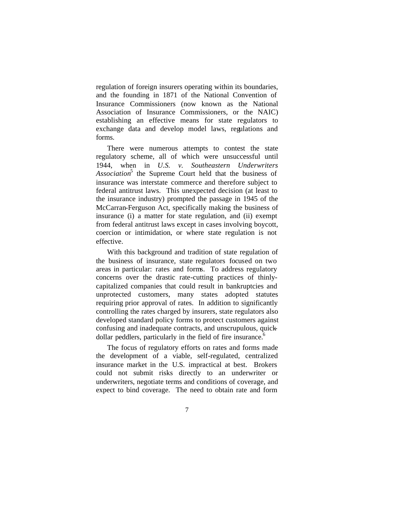regulation of foreign insurers operating within its boundaries, and the founding in 1871 of the National Convention of Insurance Commissioners (now known as the National Association of Insurance Commissioners, or the NAIC) establishing an effective means for state regulators to exchange data and develop model laws, regulations and forms.

There were numerous attempts to contest the state regulatory scheme, all of which were unsuccessful until 1944, when in *U.S. v. Southeastern Underwriters Association*<sup>5</sup> the Supreme Court held that the business of insurance was interstate commerce and therefore subject to federal antitrust laws. This unexpected decision (at least to the insurance industry) prompted the passage in 1945 of the McCarran-Ferguson Act, specifically making the business of insurance (i) a matter for state regulation, and (ii) exempt from federal antitrust laws except in cases involving boycott, coercion or intimidation, or where state regulation is not effective.

With this background and tradition of state regulation of the business of insurance, state regulators focused on two areas in particular: rates and forms. To address regulatory concerns over the drastic rate-cutting practices of thinlycapitalized companies that could result in bankruptcies and unprotected customers, many states adopted statutes requiring prior approval of rates. In addition to significantly controlling the rates charged by insurers, state regulators also developed standard policy forms to protect customers against confusing and inadequate contracts, and unscrupulous, quickdollar peddlers, particularly in the field of fire insurance.<sup>6</sup>

The focus of regulatory efforts on rates and forms made the development of a viable, self-regulated, centralized insurance market in the U.S. impractical at best. Brokers could not submit risks directly to an underwriter or underwriters, negotiate terms and conditions of coverage, and expect to bind coverage. The need to obtain rate and form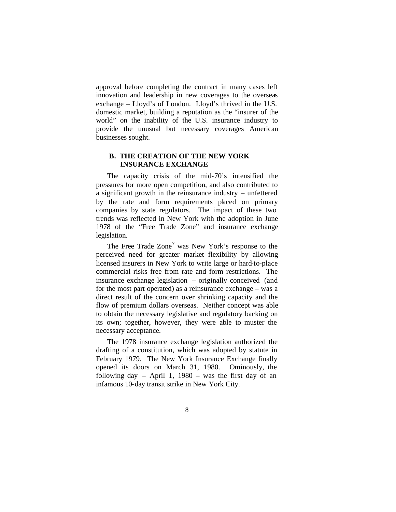approval before completing the contract in many cases left innovation and leadership in new coverages to the overseas exchange – Lloyd's of London. Lloyd's thrived in the U.S. domestic market, building a reputation as the "insurer of the world" on the inability of the U.S. insurance industry to provide the unusual but necessary coverages American businesses sought.

### **B. THE CREATION OF THE NEW YORK INSURANCE EXCHANGE**

The capacity crisis of the mid-70's intensified the pressures for more open competition, and also contributed to a significant growth in the reinsurance industry – unfettered by the rate and form requirements placed on primary companies by state regulators. The impact of these two trends was reflected in New York with the adoption in June 1978 of the "Free Trade Zone" and insurance exchange legislation.

The Free Trade  $Zone<sup>7</sup>$  was New York's response to the perceived need for greater market flexibility by allowing licensed insurers in New York to write large or hard-to-place commercial risks free from rate and form restrictions. The insurance exchange legislation – originally conceived (and for the most part operated) as a reinsurance exchange – was a direct result of the concern over shrinking capacity and the flow of premium dollars overseas. Neither concept was able to obtain the necessary legislative and regulatory backing on its own; together, however, they were able to muster the necessary acceptance.

The 1978 insurance exchange legislation authorized the drafting of a constitution, which was adopted by statute in February 1979. The New York Insurance Exchange finally opened its doors on March 31, 1980. Ominously, the following day  $-$  April 1, 1980  $-$  was the first day of an infamous 10-day transit strike in New York City.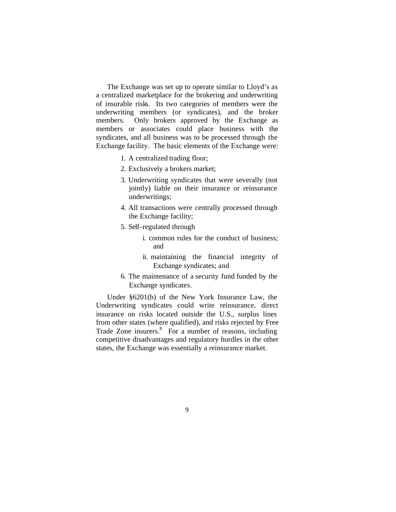The Exchange was set up to operate similar to Lloyd's as a centralized marketplace for the brokering and underwriting of insurable risks. Its two categories of members were the underwriting members (or syndicates), and the broker members. Only brokers approved by the Exchange as members or associates could place business with the syndicates, and all business was to be processed through the Exchange facility. The basic elements of the Exchange were:

- 1. A centralized trading floor;
- 2. Exclusively a brokers market;
- 3. Underwriting syndicates that were severally (not jointly) liable on their insurance or reinsurance underwritings;
- 4. All transactions were centrally processed through the Exchange facility;
- 5. Self-regulated through
	- i. common rules for the conduct of business; and
	- ii. maintaining the financial integrity of Exchange syndicates; and
- 6. The maintenance of a security fund funded by the Exchange syndicates.

Under §6201(b) of the New York Insurance Law, the Underwriting syndicates could write reinsurance, direct insurance on risks located outside the U.S., surplus lines from other states (where qualified), and risks rejected by Free Trade Zone insurers.<sup>8</sup> For a number of reasons, including competitive disadvantages and regulatory hurdles in the other states, the Exchange was essentially a reinsurance market.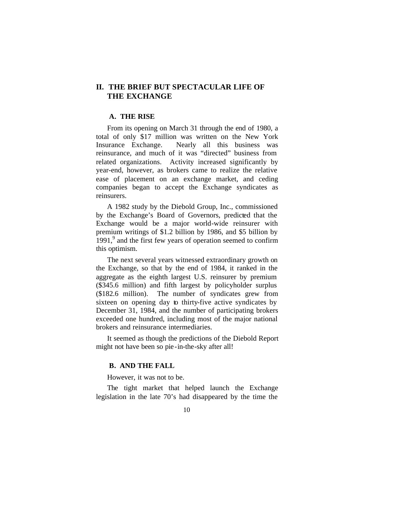# **II. THE BRIEF BUT SPECTACULAR LIFE OF THE EXCHANGE**

#### **A. THE RISE**

From its opening on March 31 through the end of 1980, a total of only \$17 million was written on the New York Insurance Exchange. Nearly all this business was reinsurance, and much of it was "directed" business from related organizations. Activity increased significantly by year-end, however, as brokers came to realize the relative ease of placement on an exchange market, and ceding companies began to accept the Exchange syndicates as reinsurers.

A 1982 study by the Diebold Group, Inc., commissioned by the Exchange's Board of Governors, predicted that the Exchange would be a major world-wide reinsurer with premium writings of \$1.2 billion by 1986, and \$5 billion by  $1991<sup>9</sup>$  and the first few years of operation seemed to confirm this optimism.

The next several years witnessed extraordinary growth on the Exchange, so that by the end of 1984, it ranked in the aggregate as the eighth largest U.S. reinsurer by premium (\$345.6 million) and fifth largest by policyholder surplus (\$182.6 million). The number of syndicates grew from sixteen on opening day to thirty-five active syndicates by December 31, 1984, and the number of participating brokers exceeded one hundred, including most of the major national brokers and reinsurance intermediaries.

It seemed as though the predictions of the Diebold Report might not have been so pie-in-the-sky after all!

#### **B. AND THE FALL**

However, it was not to be.

The tight market that helped launch the Exchange legislation in the late 70's had disappeared by the time the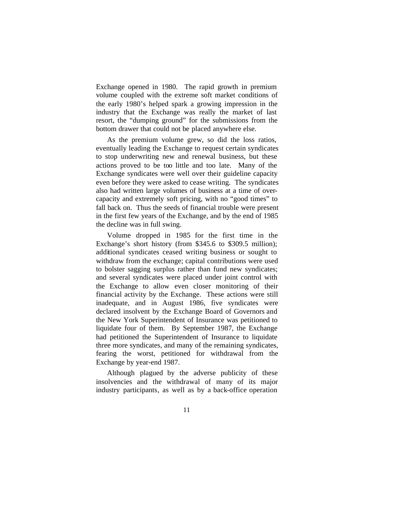Exchange opened in 1980. The rapid growth in premium volume coupled with the extreme soft market conditions of the early 1980's helped spark a growing impression in the industry that the Exchange was really the market of last resort, the "dumping ground" for the submissions from the bottom drawer that could not be placed anywhere else.

As the premium volume grew, so did the loss ratios, eventually leading the Exchange to request certain syndicates to stop underwriting new and renewal business, but these actions proved to be too little and too late. Many of the Exchange syndicates were well over their guideline capacity even before they were asked to cease writing. The syndicates also had written large volumes of business at a time of overcapacity and extremely soft pricing, with no "good times" to fall back on. Thus the seeds of financial trouble were present in the first few years of the Exchange, and by the end of 1985 the decline was in full swing.

Volume dropped in 1985 for the first time in the Exchange's short history (from \$345.6 to \$309.5 million); additional syndicates ceased writing business or sought to withdraw from the exchange; capital contributions were used to bolster sagging surplus rather than fund new syndicates; and several syndicates were placed under joint control with the Exchange to allow even closer monitoring of their financial activity by the Exchange. These actions were still inadequate, and in August 1986, five syndicates were declared insolvent by the Exchange Board of Governors and the New York Superintendent of Insurance was petitioned to liquidate four of them. By September 1987, the Exchange had petitioned the Superintendent of Insurance to liquidate three more syndicates, and many of the remaining syndicates, fearing the worst, petitioned for withdrawal from the Exchange by year-end 1987.

Although plagued by the adverse publicity of these insolvencies and the withdrawal of many of its major industry participants, as well as by a back-office operation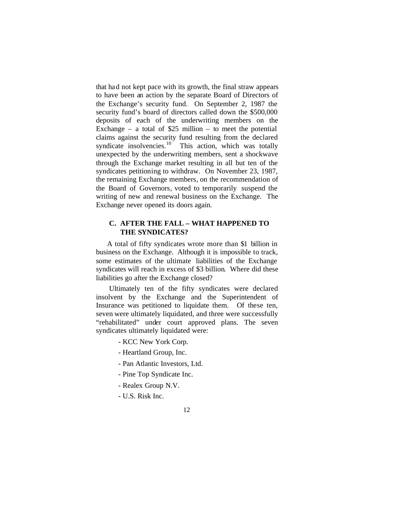that had not kept pace with its growth, the final straw appears to have been an action by the separate Board of Directors of the Exchange's security fund. On September 2, 1987 the security fund's board of directors called down the \$500,000 deposits of each of the underwriting members on the Exchange – a total of \$25 million – to meet the potential claims against the security fund resulting from the declared syndicate insolvencies. $\frac{10}{10}$  This action, which was totally unexpected by the underwriting members, sent a shockwave through the Exchange market resulting in all but ten of the syndicates petitioning to withdraw. On November 23, 1987, the remaining Exchange members, on the recommendation of the Board of Governors, voted to temporarily suspend the writing of new and renewal business on the Exchange. The Exchange never opened its doors again.

## **C. AFTER THE FALL – WHAT HAPPENED TO THE SYNDICATES?**

A total of fifty syndicates wrote more than \$1 billion in business on the Exchange. Although it is impossible to track, some estimates of the ultimate liabilities of the Exchange syndicates will reach in excess of \$3 billion. Where did these liabilities go after the Exchange closed?

 Ultimately ten of the fifty syndicates were declared insolvent by the Exchange and the Superintendent of Insurance was petitioned to liquidate them. Of these ten, seven were ultimately liquidated, and three were successfully "rehabilitated" under court approved plans. The seven syndicates ultimately liquidated were:

- KCC New York Corp.
- Heartland Group, Inc.
- Pan Atlantic Investors, Ltd.
- Pine Top Syndicate Inc.
- Realex Group N.V.
- U.S. Risk Inc.
- 12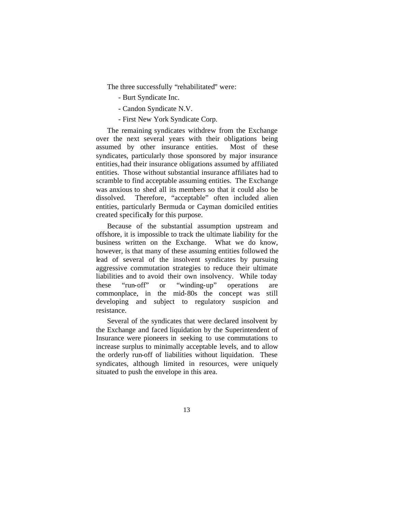The three successfully "rehabilitated" were:

- Burt Syndicate Inc.
- Candon Syndicate N.V.
- First New York Syndicate Corp.

The remaining syndicates withdrew from the Exchange over the next several years with their obligations being assumed by other insurance entities. Most of these syndicates, particularly those sponsored by major insurance entities, had their insurance obligations assumed by affiliated entities. Those without substantial insurance affiliates had to scramble to find acceptable assuming entities. The Exchange was anxious to shed all its members so that it could also be dissolved. Therefore, "acceptable" often included alien entities, particularly Bermuda or Cayman domiciled entities created specifically for this purpose.

Because of the substantial assumption upstream and offshore, it is impossible to track the ultimate liability for the business written on the Exchange. What we do know, however, is that many of these assuming entities followed the lead of several of the insolvent syndicates by pursuing aggressive commutation strategies to reduce their ultimate liabilities and to avoid their own insolvency. While today these "run-off" or "winding-up" operations are commonplace, in the mid-80s the concept was still developing and subject to regulatory suspicion and resistance.

Several of the syndicates that were declared insolvent by the Exchange and faced liquidation by the Superintendent of Insurance were pioneers in seeking to use commutations to increase surplus to minimally acceptable levels, and to allow the orderly run-off of liabilities without liquidation. These syndicates, although limited in resources, were uniquely situated to push the envelope in this area.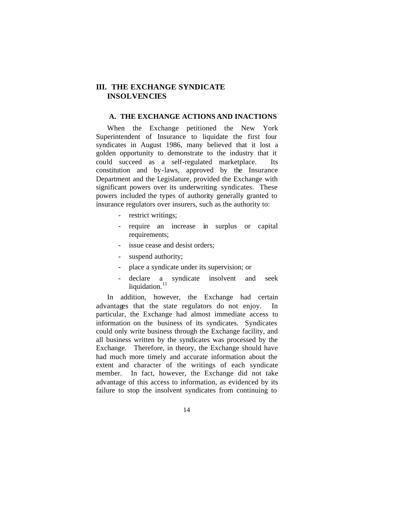# **III. THE EXCHANGE SYNDICATE INSOLVENCIES**

#### **A. THE EXCHANGE ACTIONS AND INACTIONS**

When the Exchange petitioned the New York Superintendent of Insurance to liquidate the first four syndicates in August 1986, many believed that it lost a golden opportunity to demonstrate to the industry that it could succeed as a self-regulated marketplace. Its constitution and by-laws, approved by the Insurance Department and the Legislature, provided the Exchange with significant powers over its underwriting syndicates. These powers included the types of authority generally granted to insurance regulators over insurers, such as the authority to:

- restrict writings;
- require an increase in surplus or capital requirements;
- issue cease and desist orders;
- suspend authority;
- place a syndicate under its supervision; or
- declare a syndicate insolvent and seek liquidation. $11$

In addition, however, the Exchange had certain advantages that the state regulators do not enjoy. In particular, the Exchange had almost immediate access to information on the business of its syndicates. Syndicates could only write business through the Exchange facility, and all business written by the syndicates was processed by the Exchange. Therefore, in theory, the Exchange should have had much more timely and accurate information about the extent and character of the writings of each syndicate member. In fact, however, the Exchange did not take advantage of this access to information, as evidenced by its failure to stop the insolvent syndicates from continuing to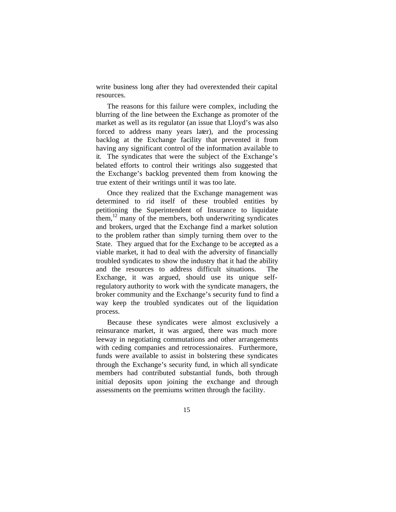write business long after they had overextended their capital resources.

The reasons for this failure were complex, including the blurring of the line between the Exchange as promoter of the market as well as its regulator (an issue that Lloyd's was also forced to address many years later), and the processing backlog at the Exchange facility that prevented it from having any significant control of the information available to it. The syndicates that were the subject of the Exchange's belated efforts to control their writings also suggested that the Exchange's backlog prevented them from knowing the true extent of their writings until it was too late.

Once they realized that the Exchange management was determined to rid itself of these troubled entities by petitioning the Superintendent of Insurance to liquidate them, $^{12}$  many of the members, both underwriting syndicates and brokers, urged that the Exchange find a market solution to the problem rather than simply turning them over to the State. They argued that for the Exchange to be accepted as a viable market, it had to deal with the adversity of financially troubled syndicates to show the industry that it had the ability and the resources to address difficult situations. The Exchange, it was argued, should use its unique selfregulatory authority to work with the syndicate managers, the broker community and the Exchange's security fund to find a way keep the troubled syndicates out of the liquidation process.

Because these syndicates were almost exclusively a reinsurance market, it was argued, there was much more leeway in negotiating commutations and other arrangements with ceding companies and retrocessionaires. Furthermore, funds were available to assist in bolstering these syndicates through the Exchange's security fund, in which all syndicate members had contributed substantial funds, both through initial deposits upon joining the exchange and through assessments on the premiums written through the facility.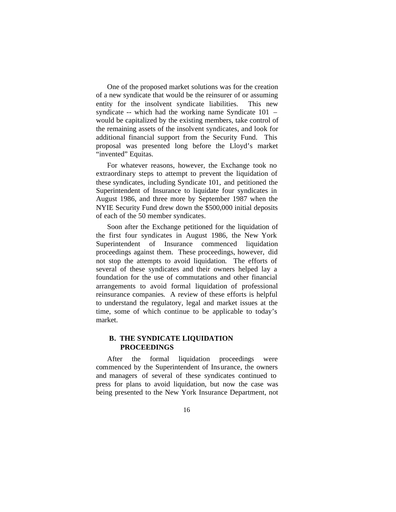One of the proposed market solutions was for the creation of a new syndicate that would be the reinsurer of or assuming entity for the insolvent syndicate liabilities. This new syndicate -- which had the working name Syndicate 101 – would be capitalized by the existing members, take control of the remaining assets of the insolvent syndicates, and look for additional financial support from the Security Fund. This proposal was presented long before the Lloyd's market "invented" Equitas.

For whatever reasons, however, the Exchange took no extraordinary steps to attempt to prevent the liquidation of these syndicates, including Syndicate 101, and petitioned the Superintendent of Insurance to liquidate four syndicates in August 1986, and three more by September 1987 when the NYIE Security Fund drew down the \$500,000 initial deposits of each of the 50 member syndicates.

Soon after the Exchange petitioned for the liquidation of the first four syndicates in August 1986, the New York Superintendent of Insurance commenced liquidation proceedings against them. These proceedings, however, did not stop the attempts to avoid liquidation. The efforts of several of these syndicates and their owners helped lay a foundation for the use of commutations and other financial arrangements to avoid formal liquidation of professional reinsurance companies. A review of these efforts is helpful to understand the regulatory, legal and market issues at the time, some of which continue to be applicable to today's market.

### **B. THE SYNDICATE LIQUIDATION PROCEEDINGS**

After the formal liquidation proceedings were commenced by the Superintendent of Insurance, the owners and managers of several of these syndicates continued to press for plans to avoid liquidation, but now the case was being presented to the New York Insurance Department, not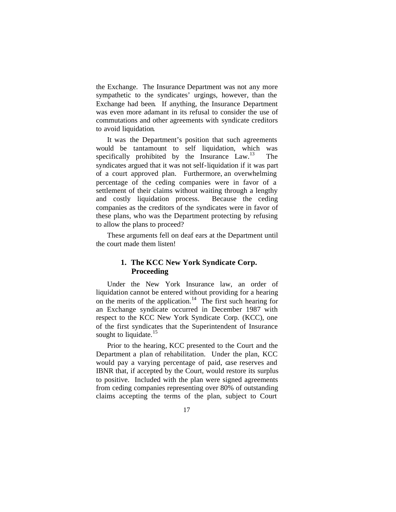the Exchange. The Insurance Department was not any more sympathetic to the syndicates' urgings, however, than the Exchange had been. If anything, the Insurance Department was even more adamant in its refusal to consider the use of commutations and other agreements with syndicate creditors to avoid liquidation.

It was the Department's position that such agreements would be tantamount to self liquidation, which was specifically prohibited by the Insurance  $Law<sup>13</sup>$  The syndicates argued that it was not self-liquidation if it was part of a court approved plan. Furthermore, an overwhelming percentage of the ceding companies were in favor of a settlement of their claims without waiting through a lengthy and costly liquidation process. Because the ceding companies as the creditors of the syndicates were in favor of these plans, who was the Department protecting by refusing to allow the plans to proceed?

These arguments fell on deaf ears at the Department until the court made them listen!

# **1. The KCC New York Syndicate Corp. Proceeding**

Under the New York Insurance law, an order of liquidation cannot be entered without providing for a hearing on the merits of the application.<sup>14</sup> The first such hearing for an Exchange syndicate occurred in December 1987 with respect to the KCC New York Syndicate Corp. (KCC), one of the first syndicates that the Superintendent of Insurance sought to liquidate. $15$ 

Prior to the hearing, KCC presented to the Court and the Department a plan of rehabilitation. Under the plan, KCC would pay a varying percentage of paid, case reserves and IBNR that, if accepted by the Court, would restore its surplus to positive. Included with the plan were signed agreements from ceding companies representing over 80% of outstanding claims accepting the terms of the plan, subject to Court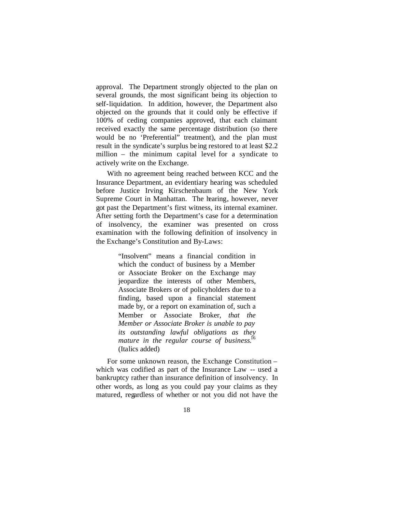approval. The Department strongly objected to the plan on several grounds, the most significant being its objection to self-liquidation. In addition, however, the Department also objected on the grounds that it could only be effective if 100% of ceding companies approved, that each claimant received exactly the same percentage distribution (so there would be no 'Preferential" treatment), and the plan must result in the syndicate's surplus be ing restored to at least \$2.2 million – the minimum capital level for a syndicate to actively write on the Exchange.

With no agreement being reached between KCC and the Insurance Department, an evidentiary hearing was scheduled before Justice Irving Kirschenbaum of the New York Supreme Court in Manhattan. The hearing, however, never got past the Department's first witness, its internal examiner. After setting forth the Department's case for a determination of insolvency, the examiner was presented on cross examination with the following definition of insolvency in the Exchange's Constitution and By-Laws:

> "Insolvent" means a financial condition in which the conduct of business by a Member or Associate Broker on the Exchange may jeopardize the interests of other Members, Associate Brokers or of policyholders due to a finding, based upon a financial statement made by, or a report on examination of, such a Member or Associate Broker, *that the Member or Associate Broker is unable to pay its outstanding lawful obligations as they mature in the regular course of business*. 16 (Italics added)

For some unknown reason, the Exchange Constitution – which was codified as part of the Insurance Law -- used a bankruptcy rather than insurance definition of insolvency. In other words, as long as you could pay your claims as they matured, regardless of whether or not you did not have the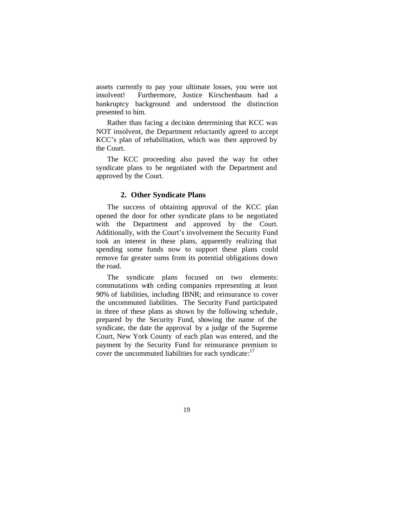assets currently to pay your ultimate losses, you were not insolvent! Furthermore, Justice Kirschenbaum had a bankruptcy background and understood the distinction presented to him.

Rather than facing a decision determining that KCC was NOT insolvent, the Department reluctantly agreed to accept KCC's plan of rehabilitation, which was then approved by the Court.

The KCC proceeding also paved the way for other syndicate plans to be negotiated with the Department and approved by the Court.

#### **2. Other Syndicate Plans**

The success of obtaining approval of the KCC plan opened the door for other syndicate plans to be negotiated with the Department and approved by the Court. Additionally, with the Court's involvement the Security Fund took an interest in these plans, apparently realizing that spending some funds now to support these plans could remove far greater sums from its potential obligations down the road.

The syndicate plans focused on two elements: commutations with ceding companies representing at least 90% of liabilities, including IBNR; and reinsurance to cover the uncommuted liabilities. The Security Fund participated in three of these plans as shown by the following schedule , prepared by the Security Fund, showing the name of the syndicate, the date the approval by a judge of the Supreme Court, New York County of each plan was entered, and the payment by the Security Fund for reinsurance premium to cover the uncommuted liabilities for each syndicate: $17$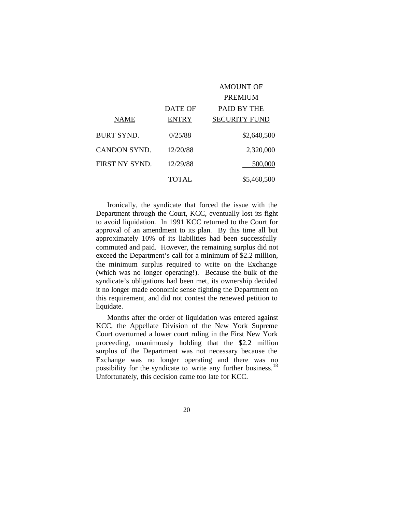|                     |              | <b>AMOUNT OF</b>     |
|---------------------|--------------|----------------------|
|                     |              | PREMIUM              |
|                     | DATE OF      | <b>PAID BY THE</b>   |
| NAME                | <b>ENTRY</b> | <b>SECURITY FUND</b> |
| BURT SYND.          | 0/25/88      | \$2,640,500          |
| <b>CANDON SYND.</b> | 12/20/88     | 2,320,000            |
| FIRST NY SYND.      | 12/29/88     | 500,000              |
|                     | TOTAL.       | \$5,460,500          |

Ironically, the syndicate that forced the issue with the Department through the Court, KCC, eventually lost its fight to avoid liquidation. In 1991 KCC returned to the Court for approval of an amendment to its plan. By this time all but approximately 10% of its liabilities had been successfully commuted and paid. However, the remaining surplus did not exceed the Department's call for a minimum of \$2.2 million, the minimum surplus required to write on the Exchange (which was no longer operating!). Because the bulk of the syndicate's obligations had been met, its ownership decided it no longer made economic sense fighting the Department on this requirement, and did not contest the renewed petition to liquidate.

Months after the order of liquidation was entered against KCC, the Appellate Division of the New York Supreme Court overturned a lower court ruling in the First New York proceeding, unanimously holding that the \$2.2 million surplus of the Department was not necessary because the Exchange was no longer operating and there was no possibility for the syndicate to write any further business.<sup>18</sup> Unfortunately, this decision came too late for KCC.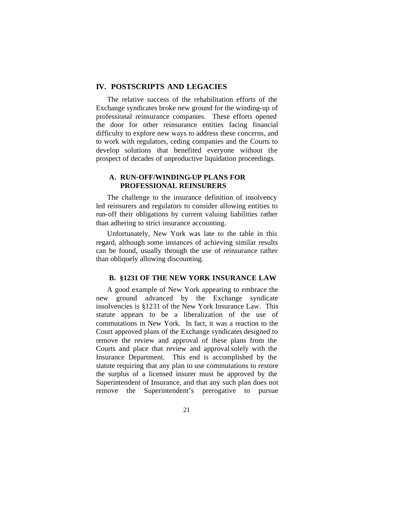### **IV. POSTSCRIPTS AND LEGACIES**

The relative success of the rehabilitation efforts of the Exchange syndicates broke new ground for the winding-up of professional reinsurance companies. These efforts opened the door for other reinsurance entities facing financial difficulty to explore new ways to address these concerns, and to work with regulators, ceding companies and the Courts to develop solutions that benefited everyone without the prospect of decades of unproductive liquidation proceedings.

### **A. RUN-OFF/WINDING-UP PLANS FOR PROFESSIONAL REINSURERS**

The challenge to the insurance definition of insolvency led reinsurers and regulators to consider allowing entities to run-off their obligations by current valuing liabilities rather than adhering to strict insurance accounting.

Unfortunately, New York was late to the table in this regard, although some instances of achieving similar results can be found, usually through the use of reinsurance rather than obliquely allowing discounting.

### **B. §1231 OF THE NEW YORK INSURANCE LAW**

A good example of New York appearing to embrace the new ground advanced by the Exchange syndicate insolvencies is §1231 of the New York Insurance Law. This statute appears to be a liberalization of the use of commutations in New York. In fact, it was a reaction to the Court approved plans of the Exchange syndicates designed to remove the review and approval of these plans from the Courts and place that review and approval solely with the Insurance Department. This end is accomplished by the statute requiring that any plan to use commutations to restore the surplus of a licensed insurer must be approved by the Superintendent of Insurance, and that any such plan does not remove the Superintendent's prerogative to pursue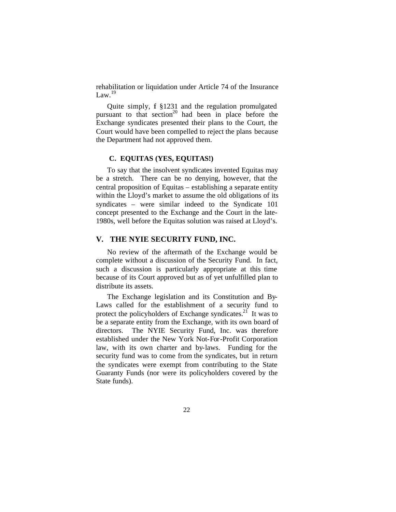rehabilitation or liquidation under Article 74 of the Insurance Law. 19

Quite simply, f §1231 and the regulation promulgated pursuant to that  $section<sup>20</sup>$  had been in place before the Exchange syndicates presented their plans to the Court, the Court would have been compelled to reject the plans because the Department had not approved them.

#### **C. EQUITAS (YES, EQUITAS!)**

To say that the insolvent syndicates invented Equitas may be a stretch. There can be no denying, however, that the central proposition of Equitas – establishing a separate entity within the Lloyd's market to assume the old obligations of its syndicates – were similar indeed to the Syndicate 101 concept presented to the Exchange and the Court in the late-1980s, well before the Equitas solution was raised at Lloyd's.

### **V. THE NYIE SECURITY FUND, INC.**

No review of the aftermath of the Exchange would be complete without a discussion of the Security Fund. In fact, such a discussion is particularly appropriate at this time because of its Court approved but as of yet unfulfilled plan to distribute its assets.

The Exchange legislation and its Constitution and By-Laws called for the establishment of a security fund to protect the policyholders of Exchange syndicates.<sup>21</sup> It was to be a separate entity from the Exchange, with its own board of directors. The NYIE Security Fund, Inc. was therefore established under the New York Not-For-Profit Corporation law, with its own charter and by-laws. Funding for the security fund was to come from the syndicates, but in return the syndicates were exempt from contributing to the State Guaranty Funds (nor were its policyholders covered by the State funds).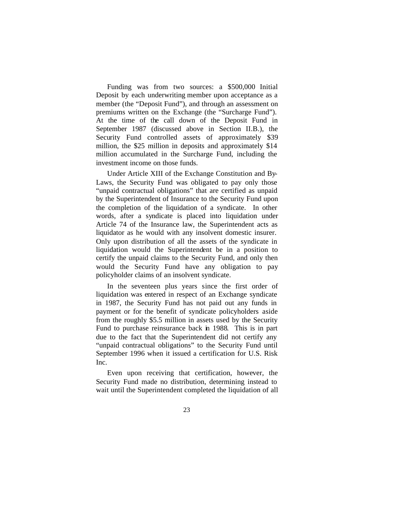Funding was from two sources: a \$500,000 Initial Deposit by each underwriting member upon acceptance as a member (the "Deposit Fund"), and through an assessment on premiums written on the Exchange (the "Surcharge Fund"). At the time of the call down of the Deposit Fund in September 1987 (discussed above in Section II.B.), the Security Fund controlled assets of approximately \$39 million, the \$25 million in deposits and approximately \$14 million accumulated in the Surcharge Fund, including the investment income on those funds.

Under Article XIII of the Exchange Constitution and By-Laws, the Security Fund was obligated to pay only those "unpaid contractual obligations" that are certified as unpaid by the Superintendent of Insurance to the Security Fund upon the completion of the liquidation of a syndicate. In other words, after a syndicate is placed into liquidation under Article 74 of the Insurance law, the Superintendent acts as liquidator as he would with any insolvent domestic insurer. Only upon distribution of all the assets of the syndicate in liquidation would the Superintendent be in a position to certify the unpaid claims to the Security Fund, and only then would the Security Fund have any obligation to pay policyholder claims of an insolvent syndicate.

In the seventeen plus years since the first order of liquidation was entered in respect of an Exchange syndicate in 1987, the Security Fund has not paid out any funds in payment or for the benefit of syndicate policyholders aside from the roughly \$5.5 million in assets used by the Security Fund to purchase reinsurance back in 1988. This is in part due to the fact that the Superintendent did not certify any "unpaid contractual obligations" to the Security Fund until September 1996 when it issued a certification for U.S. Risk Inc.

Even upon receiving that certification, however, the Security Fund made no distribution, determining instead to wait until the Superintendent completed the liquidation of all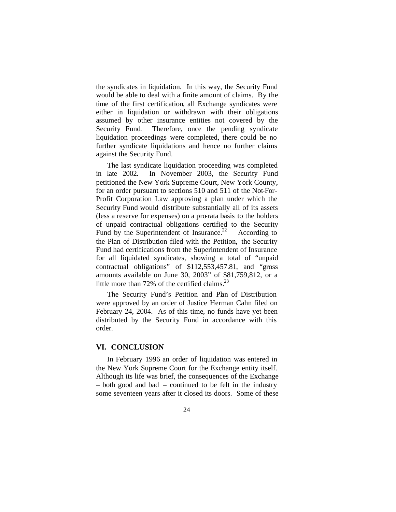the syndicates in liquidation. In this way, the Security Fund would be able to deal with a finite amount of claims. By the time of the first certification, all Exchange syndicates were either in liquidation or withdrawn with their obligations assumed by other insurance entities not covered by the Security Fund. Therefore, once the pending syndicate liquidation proceedings were completed, there could be no further syndicate liquidations and hence no further claims against the Security Fund.

The last syndicate liquidation proceeding was completed in late 2002. In November 2003, the Security Fund petitioned the New York Supreme Court, New York County, for an order pursuant to sections 510 and 511 of the Not-For-Profit Corporation Law approving a plan under which the Security Fund would distribute substantially all of its assets (less a reserve for expenses) on a pro-rata basis to the holders of unpaid contractual obligations certified to the Security Fund by the Superintendent of Insurance.<sup>22</sup> According to the Plan of Distribution filed with the Petition, the Security Fund had certifications from the Superintendent of Insurance for all liquidated syndicates, showing a total of "unpaid contractual obligations" of \$112,553,457.81, and "gross amounts available on June 30, 2003" of \$81,759,812, or a little more than  $72\%$  of the certified claims.<sup>23</sup>

The Security Fund's Petition and Plan of Distribution were approved by an order of Justice Herman Cahn filed on February 24, 2004. As of this time, no funds have yet been distributed by the Security Fund in accordance with this order.

#### **VI. CONCLUSION**

In February 1996 an order of liquidation was entered in the New York Supreme Court for the Exchange entity itself. Although its life was brief, the consequences of the Exchange – both good and bad – continued to be felt in the industry some seventeen years after it closed its doors. Some of these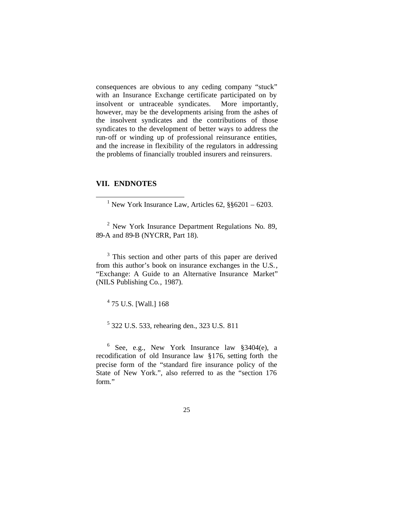consequences are obvious to any ceding company "stuck" with an Insurance Exchange certificate participated on by insolvent or untraceable syndicates. More importantly, however, may be the developments arising from the ashes of the insolvent syndicates and the contributions of those syndicates to the development of better ways to address the run-off or winding up of professional reinsurance entities, and the increase in flexibility of the regulators in addressing the problems of financially troubled insurers and reinsurers.

# **VII. ENDNOTES**

 $\overline{a}$ 

<sup>3</sup> This section and other parts of this paper are derived from this author's book on insurance exchanges in the U.S., "Exchange: A Guide to an Alternative Insurance Market" (NILS Publishing Co., 1987).

<sup>4</sup> 75 U.S. [Wall.] 168

5 322 U.S. 533, rehearing den., 323 U.S. 811

 $6$  See, e.g., New York Insurance law  $\S 3404(e)$ , a recodification of old Insurance law §176, setting forth the precise form of the "standard fire insurance policy of the State of New York.", also referred to as the "section 176 form."

<sup>&</sup>lt;sup>1</sup> New York Insurance Law, Articles 62,  $\S$ §6201 – 6203.

 $2$  New York Insurance Department Regulations No. 89, 89-A and 89-B (NYCRR, Part 18).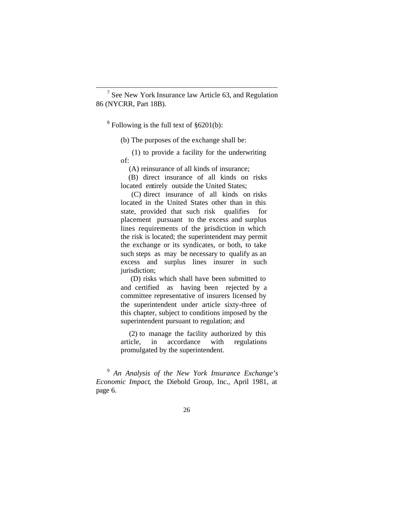<sup>7</sup> See New York Insurance law Article 63, and Regulation 86 (NYCRR, Part 18B).

 $8$  Following is the full text of  $§6201(b)$ :

 $\overline{a}$ 

(b) The purposes of the exchange shall be:

 (1) to provide a facility for the underwriting of:

(A) reinsurance of all kinds of insurance;

 (B) direct insurance of all kinds on risks located entirely outside the United States;

 (C) direct insurance of all kinds on risks located in the United States other than in this state, provided that such risk qualifies for placement pursuant to the excess and surplus lines requirements of the urisdiction in which the risk is located; the superintendent may permit the exchange or its syndicates, or both, to take such steps as may be necessary to qualify as an excess and surplus lines insurer in such jurisdiction;

 (D) risks which shall have been submitted to and certified as having been rejected by a committee representative of insurers licensed by the superintendent under article sixty-three of this chapter, subject to conditions imposed by the superintendent pursuant to regulation; and

 (2) to manage the facility authorized by this article, in accordance with regulations promulgated by the superintendent.

9 *An Analysis of the New York Insurance Exchange's Economic Impact*, the Diebold Group, Inc., April 1981, at page 6.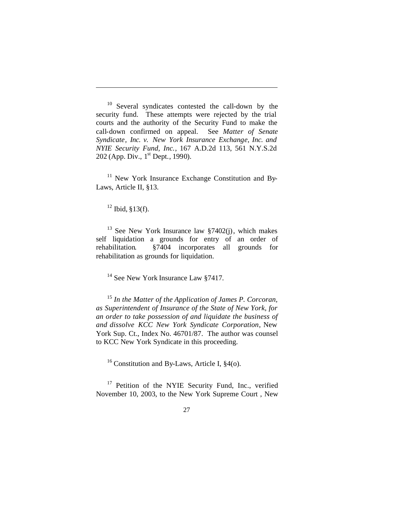<sup>10</sup> Several syndicates contested the call-down by the security fund. These attempts were rejected by the trial courts and the authority of the Security Fund to make the call-down confirmed on appeal. See *Matter of Senate Syndicate, Inc. v. New York Insurance Exchange, Inc. and NYIE Security Fund, Inc.*, 167 A.D.2d 113, 561 N.Y.S.2d 202 (App. Div., 1<sup>st</sup> Dept., 1990).

 $11$  New York Insurance Exchange Constitution and By-Laws, Article II, §13.

 $12$  Ibid, §13(f).

 $\overline{a}$ 

 $13$  See New York Insurance law §7402(j), which makes self liquidation a grounds for entry of an order of rehabilitation. §7404 incorporates all grounds for rehabilitation as grounds for liquidation.

<sup>14</sup> See New York Insurance Law §7417.

<sup>15</sup> *In the Matter of the Application of James P. Corcoran, as Superintendent of Insurance of the State of New York, for an order to take possession of and liquidate the business of and dissolve KCC New York Syndicate Corporation*, New York Sup. Ct., Index No. 46701/87. The author was counsel to KCC New York Syndicate in this proceeding.

<sup>16</sup> Constitution and By-Laws, Article I,  $\S4$ (o).

<sup>17</sup> Petition of the NYIE Security Fund, Inc., verified November 10, 2003, to the New York Supreme Court , New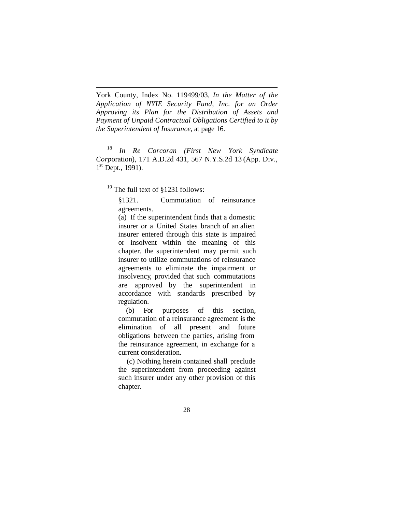York County, Index No. 119499/03, *In the Matter of the Application of NYIE Security Fund, Inc. for an Order Approving its Plan for the Distribution of Assets and Payment of Unpaid Contractual Obligations Certified to it by the Superintendent of Insurance*, at page 16.

<sup>18</sup> *In Re Corcoran (First New York Syndicate Corp*oration), 171 A.D.2d 431, 567 N.Y.S.2d 13 (App. Div., 1<sup>st</sup> Dept., 1991).

<sup>19</sup> The full text of §1231 follows:

 $\overline{a}$ 

§1321. Commutation of reinsurance agreements.

(a) If the superintendent finds that a domestic insurer or a United States branch of an alien insurer entered through this state is impaired or insolvent within the meaning of this chapter, the superintendent may permit such insurer to utilize commutations of reinsurance agreements to eliminate the impairment or insolvency, provided that such commutations are approved by the superintendent in accordance with standards prescribed by regulation.

 (b) For purposes of this section, commutation of a reinsurance agreement is the elimination of all present and future obligations between the parties, arising from the reinsurance agreement, in exchange for a current consideration.

 (c) Nothing herein contained shall preclude the superintendent from proceeding against such insurer under any other provision of this chapter.